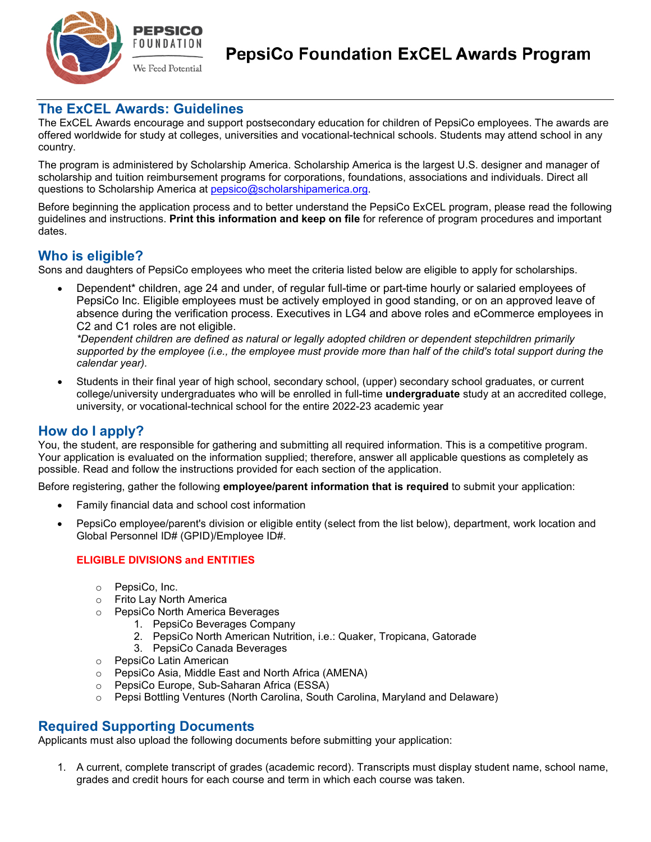

## **The ExCEL Awards: Guidelines**

The ExCEL Awards encourage and support postsecondary education for children of PepsiCo employees. The awards are offered worldwide for study at colleges, universities and vocational-technical schools. Students may attend school in any country.

The program is administered by Scholarship America. Scholarship America is the largest U.S. designer and manager of scholarship and tuition reimbursement programs for corporations, foundations, associations and individuals. Direct all questions to Scholarship America at [pepsico@scholarshipamerica.org.](mailto:%20pepsico@scholarshipamerica.org)

Before beginning the application process and to better understand the PepsiCo ExCEL program, please read the following guidelines and instructions. **Print this information and keep on file** for reference of program procedures and important dates.

# **Who is eligible?**

Sons and daughters of PepsiCo employees who meet the criteria listed below are eligible to apply for scholarships.

• Dependent\* children, age 24 and under, of regular full-time or part-time hourly or salaried employees of PepsiCo Inc. Eligible employees must be actively employed in good standing, or on an approved leave of absence during the verification process. Executives in LG4 and above roles and eCommerce employees in C2 and C1 roles are not eligible.

*\*Dependent children are defined as natural or legally adopted children or dependent stepchildren primarily supported by the employee (i.e., the employee must provide more than half of the child's total support during the calendar year).* 

• Students in their final year of high school, secondary school, (upper) secondary school graduates, or current college/university undergraduates who will be enrolled in full-time **undergraduate** study at an accredited college, university, or vocational-technical school for the entire 2022-23 academic year

# **How do I apply?**

You, the student, are responsible for gathering and submitting all required information. This is a competitive program. Your application is evaluated on the information supplied; therefore, answer all applicable questions as completely as possible. Read and follow the instructions provided for each section of the application.

Before registering, gather the following **employee/parent information that is required** to submit your application:

- Family financial data and school cost information
- PepsiCo employee/parent's division or eligible entity (select from the list below), department, work location and Global Personnel ID# (GPID)/Employee ID#.

#### **ELIGIBLE DIVISIONS and ENTITIES**

- o PepsiCo, Inc.
- o Frito Lay North America
- o PepsiCo North America Beverages
	- 1. PepsiCo Beverages Company
	- 2. PepsiCo North American Nutrition, i.e.: Quaker, Tropicana, Gatorade
	- 3. PepsiCo Canada Beverages
- o PepsiCo Latin American
- o PepsiCo Asia, Middle East and North Africa (AMENA)
- o PepsiCo Europe, Sub-Saharan Africa (ESSA)
- o Pepsi Bottling Ventures (North Carolina, South Carolina, Maryland and Delaware)

## **Required Supporting Documents**

Applicants must also upload the following documents before submitting your application:

1. A current, complete transcript of grades (academic record). Transcripts must display student name, school name, grades and credit hours for each course and term in which each course was taken.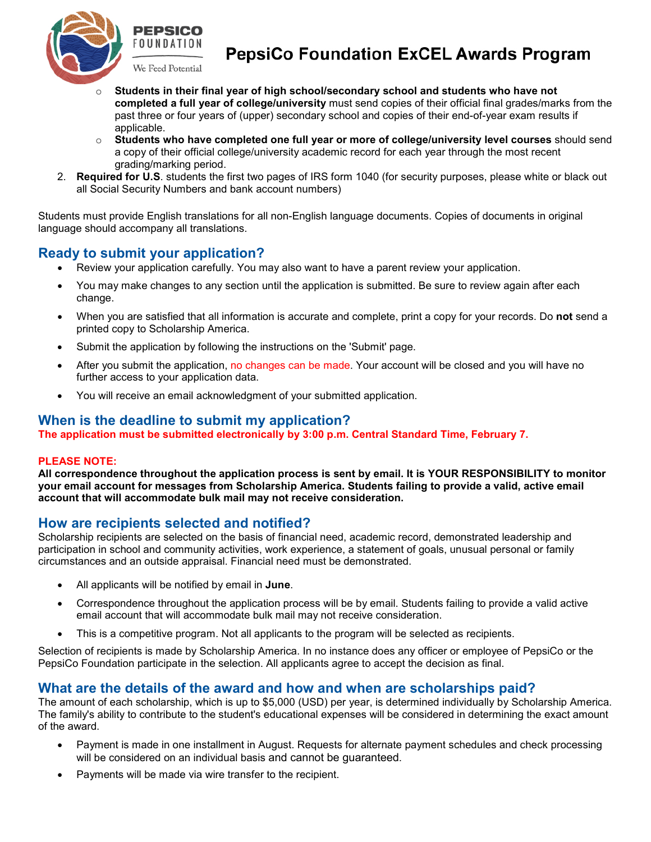

# **PepsiCo Foundation ExCEL Awards Program**

- o **Students in their final year of high school/secondary school and students who have not completed a full year of college/university** must send copies of their official final grades/marks from the past three or four years of (upper) secondary school and copies of their end-of-year exam results if applicable.
- o **Students who have completed one full year or more of college/university level courses** should send a copy of their official college/university academic record for each year through the most recent grading/marking period.
- 2. **Required for U.S**. students the first two pages of IRS form 1040 (for security purposes, please white or black out all Social Security Numbers and bank account numbers)

Students must provide English translations for all non-English language documents. Copies of documents in original language should accompany all translations.

# **Ready to submit your application?**

- Review your application carefully. You may also want to have a parent review your application.
- You may make changes to any section until the application is submitted. Be sure to review again after each change.
- When you are satisfied that all information is accurate and complete, print a copy for your records. Do **not** send a printed copy to Scholarship America.
- Submit the application by following the instructions on the 'Submit' page.
- After you submit the application, no changes can be made. Your account will be closed and you will have no further access to your application data.
- You will receive an email acknowledgment of your submitted application.

### **When is the deadline to submit my application?**

**The application must be submitted electronically by 3:00 p.m. Central Standard Time, February 7.**

#### **PLEASE NOTE:**

**All correspondence throughout the application process is sent by email. It is YOUR RESPONSIBILITY to monitor your email account for messages from Scholarship America. Students failing to provide a valid, active email account that will accommodate bulk mail may not receive consideration.**

## **How are recipients selected and notified?**

Scholarship recipients are selected on the basis of financial need, academic record, demonstrated leadership and participation in school and community activities, work experience, a statement of goals, unusual personal or family circumstances and an outside appraisal. Financial need must be demonstrated.

- All applicants will be notified by email in **June**.
- Correspondence throughout the application process will be by email. Students failing to provide a valid active email account that will accommodate bulk mail may not receive consideration.
- This is a competitive program. Not all applicants to the program will be selected as recipients.

Selection of recipients is made by Scholarship America. In no instance does any officer or employee of PepsiCo or the PepsiCo Foundation participate in the selection. All applicants agree to accept the decision as final.

## **What are the details of the award and how and when are scholarships paid?**

The amount of each scholarship, which is up to \$5,000 (USD) per year, is determined individually by Scholarship America. The family's ability to contribute to the student's educational expenses will be considered in determining the exact amount of the award.

- Payment is made in one installment in August. Requests for alternate payment schedules and check processing will be considered on an individual basis and cannot be guaranteed.
- Payments will be made via wire transfer to the recipient.